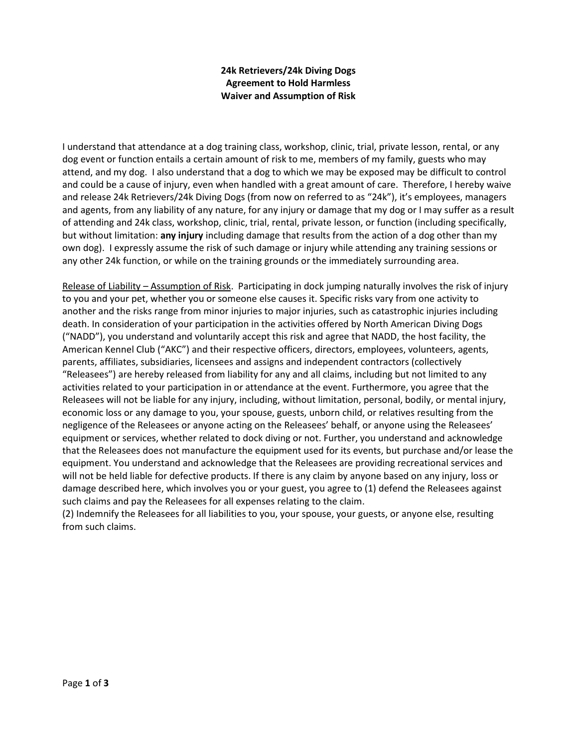## **24k Retrievers/24k Diving Dogs Agreement to Hold Harmless Waiver and Assumption of Risk**

I understand that attendance at a dog training class, workshop, clinic, trial, private lesson, rental, or any dog event or function entails a certain amount of risk to me, members of my family, guests who may attend, and my dog. I also understand that a dog to which we may be exposed may be difficult to control and could be a cause of injury, even when handled with a great amount of care. Therefore, I hereby waive and release 24k Retrievers/24k Diving Dogs (from now on referred to as "24k"), it's employees, managers and agents, from any liability of any nature, for any injury or damage that my dog or I may suffer as a result of attending and 24k class, workshop, clinic, trial, rental, private lesson, or function (including specifically, but without limitation: **any injury** including damage that results from the action of a dog other than my own dog). I expressly assume the risk of such damage or injury while attending any training sessions or any other 24k function, or while on the training grounds or the immediately surrounding area.

Release of Liability – Assumption of Risk. Participating in dock jumping naturally involves the risk of injury to you and your pet, whether you or someone else causes it. Specific risks vary from one activity to another and the risks range from minor injuries to major injuries, such as catastrophic injuries including death. In consideration of your participation in the activities offered by North American Diving Dogs ("NADD"), you understand and voluntarily accept this risk and agree that NADD, the host facility, the American Kennel Club ("AKC") and their respective officers, directors, employees, volunteers, agents, parents, affiliates, subsidiaries, licensees and assigns and independent contractors (collectively "Releasees") are hereby released from liability for any and all claims, including but not limited to any activities related to your participation in or attendance at the event. Furthermore, you agree that the Releasees will not be liable for any injury, including, without limitation, personal, bodily, or mental injury, economic loss or any damage to you, your spouse, guests, unborn child, or relatives resulting from the negligence of the Releasees or anyone acting on the Releasees' behalf, or anyone using the Releasees' equipment or services, whether related to dock diving or not. Further, you understand and acknowledge that the Releasees does not manufacture the equipment used for its events, but purchase and/or lease the equipment. You understand and acknowledge that the Releasees are providing recreational services and will not be held liable for defective products. If there is any claim by anyone based on any injury, loss or damage described here, which involves you or your guest, you agree to (1) defend the Releasees against such claims and pay the Releasees for all expenses relating to the claim.

(2) Indemnify the Releasees for all liabilities to you, your spouse, your guests, or anyone else, resulting from such claims.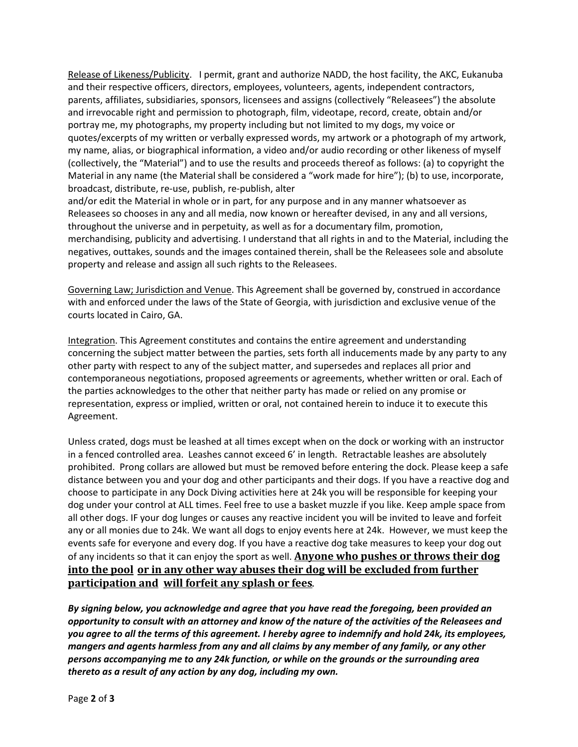Release of Likeness/Publicity. I permit, grant and authorize NADD, the host facility, the AKC, Eukanuba and their respective officers, directors, employees, volunteers, agents, independent contractors, parents, affiliates, subsidiaries, sponsors, licensees and assigns (collectively "Releasees") the absolute and irrevocable right and permission to photograph, film, videotape, record, create, obtain and/or portray me, my photographs, my property including but not limited to my dogs, my voice or quotes/excerpts of my written or verbally expressed words, my artwork or a photograph of my artwork, my name, alias, or biographical information, a video and/or audio recording or other likeness of myself (collectively, the "Material") and to use the results and proceeds thereof as follows: (a) to copyright the Material in any name (the Material shall be considered a "work made for hire"); (b) to use, incorporate, broadcast, distribute, re‐use, publish, re‐publish, alter

and/or edit the Material in whole or in part, for any purpose and in any manner whatsoever as Releasees so chooses in any and all media, now known or hereafter devised, in any and all versions, throughout the universe and in perpetuity, as well as for a documentary film, promotion, merchandising, publicity and advertising. I understand that all rights in and to the Material, including the negatives, outtakes, sounds and the images contained therein, shall be the Releasees sole and absolute property and release and assign all such rights to the Releasees.

Governing Law; Jurisdiction and Venue. This Agreement shall be governed by, construed in accordance with and enforced under the laws of the State of Georgia, with jurisdiction and exclusive venue of the courts located in Cairo, GA.

Integration. This Agreement constitutes and contains the entire agreement and understanding concerning the subject matter between the parties, sets forth all inducements made by any party to any other party with respect to any of the subject matter, and supersedes and replaces all prior and contemporaneous negotiations, proposed agreements or agreements, whether written or oral. Each of the parties acknowledges to the other that neither party has made or relied on any promise or representation, express or implied, written or oral, not contained herein to induce it to execute this Agreement.

Unless crated, dogs must be leashed at all times except when on the dock or working with an instructor in a fenced controlled area. Leashes cannot exceed 6' in length. Retractable leashes are absolutely prohibited. Prong collars are allowed but must be removed before entering the dock. Please keep a safe distance between you and your dog and other participants and their dogs. If you have a reactive dog and choose to participate in any Dock Diving activities here at 24k you will be responsible for keeping your dog under your control at ALL times. Feel free to use a basket muzzle if you like. Keep ample space from all other dogs. IF your dog lunges or causes any reactive incident you will be invited to leave and forfeit any or all monies due to 24k. We want all dogs to enjoy events here at 24k. However, we must keep the events safe for everyone and every dog. If you have a reactive dog take measures to keep your dog out of any incidents so that it can enjoy the sport as well. **Anyone who pushes or throws their dog into the pool or in any other way abuses their dog will be excluded from further participation and will forfeit any splash or fees**.

*By signing below, you acknowledge and agree that you have read the foregoing, been provided an opportunity to consult with an attorney and know of the nature of the activities of the Releasees and you agree to all the terms of this agreement. I hereby agree to indemnify and hold 24k, its employees, mangers and agents harmless from any and all claims by any member of any family, or any other persons accompanying me to any 24k function, or while on the grounds or the surrounding area thereto as a result of any action by any dog, including my own.*